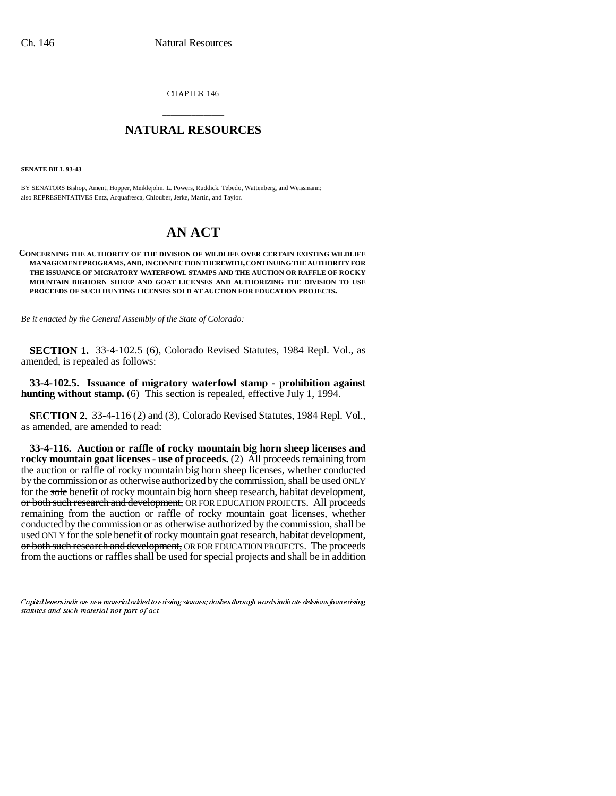CHAPTER 146

## \_\_\_\_\_\_\_\_\_\_\_\_\_\_\_ **NATURAL RESOURCES** \_\_\_\_\_\_\_\_\_\_\_\_\_\_\_

**SENATE BILL 93-43**

BY SENATORS Bishop, Ament, Hopper, Meiklejohn, L. Powers, Ruddick, Tebedo, Wattenberg, and Weissmann; also REPRESENTATIVES Entz, Acquafresca, Chlouber, Jerke, Martin, and Taylor.

## **AN ACT**

## **CONCERNING THE AUTHORITY OF THE DIVISION OF WILDLIFE OVER CERTAIN EXISTING WILDLIFE MANAGEMENT PROGRAMS, AND, IN CONNECTION THEREWITH, CONTINUING THE AUTHORITY FOR THE ISSUANCE OF MIGRATORY WATERFOWL STAMPS AND THE AUCTION OR RAFFLE OF ROCKY MOUNTAIN BIGHORN SHEEP AND GOAT LICENSES AND AUTHORIZING THE DIVISION TO USE PROCEEDS OF SUCH HUNTING LICENSES SOLD AT AUCTION FOR EDUCATION PROJECTS.**

*Be it enacted by the General Assembly of the State of Colorado:*

**SECTION 1.** 33-4-102.5 (6), Colorado Revised Statutes, 1984 Repl. Vol., as amended, is repealed as follows:

**33-4-102.5. Issuance of migratory waterfowl stamp - prohibition against hunting without stamp.** (6) This section is repealed, effective July 1, 1994.

**SECTION 2.** 33-4-116 (2) and (3), Colorado Revised Statutes, 1984 Repl. Vol., as amended, are amended to read:

remaining from the auction or raffle of rocky mountain goat licenses, whether **33-4-116. Auction or raffle of rocky mountain big horn sheep licenses and rocky mountain goat licenses - use of proceeds.** (2) All proceeds remaining from the auction or raffle of rocky mountain big horn sheep licenses, whether conducted by the commission or as otherwise authorized by the commission, shall be used ONLY for the sole benefit of rocky mountain big horn sheep research, habitat development, or both such research and development, OR FOR EDUCATION PROJECTS. All proceeds conducted by the commission or as otherwise authorized by the commission, shall be used ONLY for the sole benefit of rocky mountain goat research, habitat development, or both such research and development, OR FOR EDUCATION PROJECTS. The proceeds from the auctions or raffles shall be used for special projects and shall be in addition

Capital letters indicate new material added to existing statutes; dashes through words indicate deletions from existing statutes and such material not part of act.